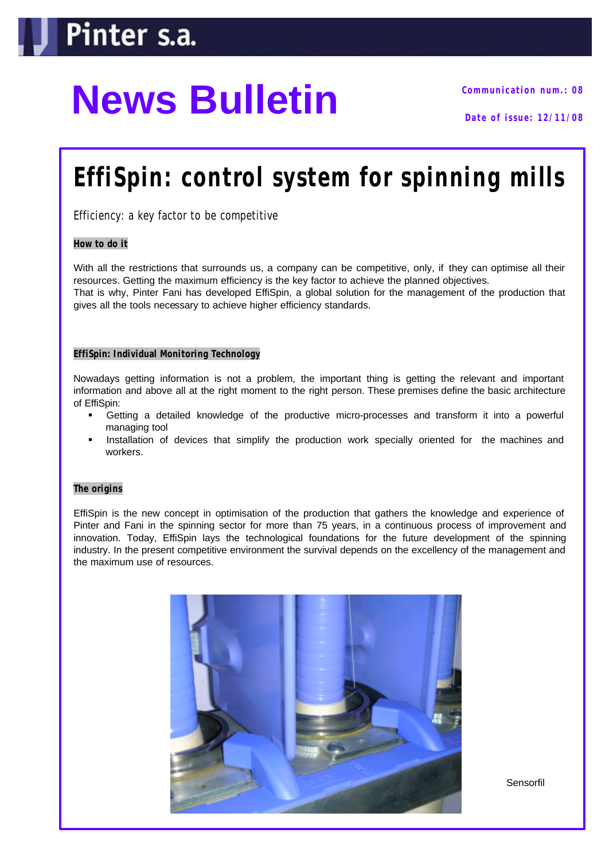# **News Bulletin Communication num.: 08**

### **EffiSpin: control system for spinning mills**

*Efficiency: a key factor to be competitive*

#### **How to do it**

With all the restrictions that surrounds us, a company can be competitive, only, if they can optimise all their resources. Getting the maximum efficiency is the key factor to achieve the planned objectives. That is why, Pinter Fani has developed EffiSpin, a global solution for the management of the production that gives all the tools necessary to achieve higher efficiency standards.

#### **EffiSpin: Individual Monitoring Technology**

Nowadays getting information is not a problem, the important thing is getting the relevant and important information and above all at the right moment to the right person. These premises define the basic architecture of EffiSpin:

- ß Getting a detailed knowledge of the productive micro-processes and transform it into a powerful managing tool
- ß Installation of devices that simplify the production work specially oriented for the machines and workers.

#### **The origins**

EffiSpin is the new concept in optimisation of the production that gathers the knowledge and experience of Pinter and Fani in the spinning sector for more than 75 years, in a continuous process of improvement and innovation. Today, EffiSpin lays the technological foundations for the future development of the spinning industry. In the present competitive environment the survival depends on the excellency of the management and the maximum use of resources.



**Sensorfil**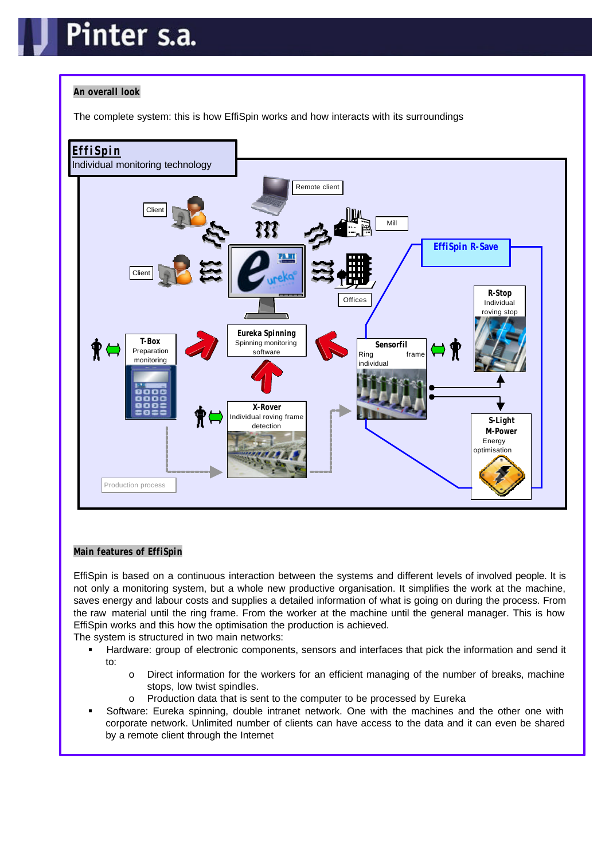## nter s.a.

#### **An overall look**

The complete system: this is how EffiSpin works and how interacts with its surroundings



#### **Main features of EffiSpin**

EffiSpin is based on a continuous interaction between the systems and different levels of involved people. It is not only a monitoring system, but a whole new productive organisation. It simplifies the work at the machine, saves energy and labour costs and supplies a detailed information of what is going on during the process. From the raw material until the ring frame. From the worker at the machine until the general manager. This is how EffiSpin works and this how the optimisation the production is achieved.

The system is structured in two main networks:

- Hardware: group of electronic components, sensors and interfaces that pick the information and send it to:
	- o Direct information for the workers for an efficient managing of the number of breaks, machine stops, low twist spindles.
	- o Production data that is sent to the computer to be processed by Eureka
- ß Software: Eureka spinning, double intranet network. One with the machines and the other one with corporate network. Unlimited number of clients can have access to the data and it can even be shared by a remote client through the Internet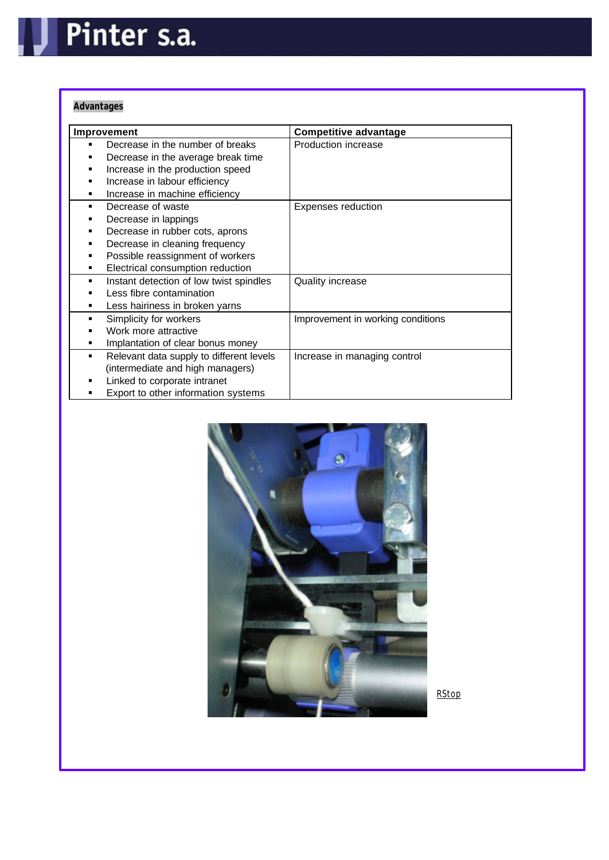#### **Advantages**

| Improvement                                   | <b>Competitive advantage</b>      |
|-----------------------------------------------|-----------------------------------|
| Decrease in the number of breaks              | Production increase               |
| Decrease in the average break time            |                                   |
| Increase in the production speed              |                                   |
| Increase in labour efficiency                 |                                   |
| Increase in machine efficiency                |                                   |
| Decrease of waste<br>٠                        | <b>Expenses reduction</b>         |
| Decrease in lappings                          |                                   |
| Decrease in rubber cots, aprons               |                                   |
| Decrease in cleaning frequency                |                                   |
| Possible reassignment of workers              |                                   |
| Electrical consumption reduction<br>٠         |                                   |
| Instant detection of low twist spindles<br>٠  | <b>Quality increase</b>           |
| Less fibre contamination                      |                                   |
| Less hairiness in broken yarns                |                                   |
| Simplicity for workers<br>٠                   | Improvement in working conditions |
| Work more attractive                          |                                   |
| Implantation of clear bonus money             |                                   |
| Relevant data supply to different levels<br>٠ | Increase in managing control      |
| (intermediate and high managers)              |                                   |
| Linked to corporate intranet                  |                                   |
| Export to other information systems           |                                   |

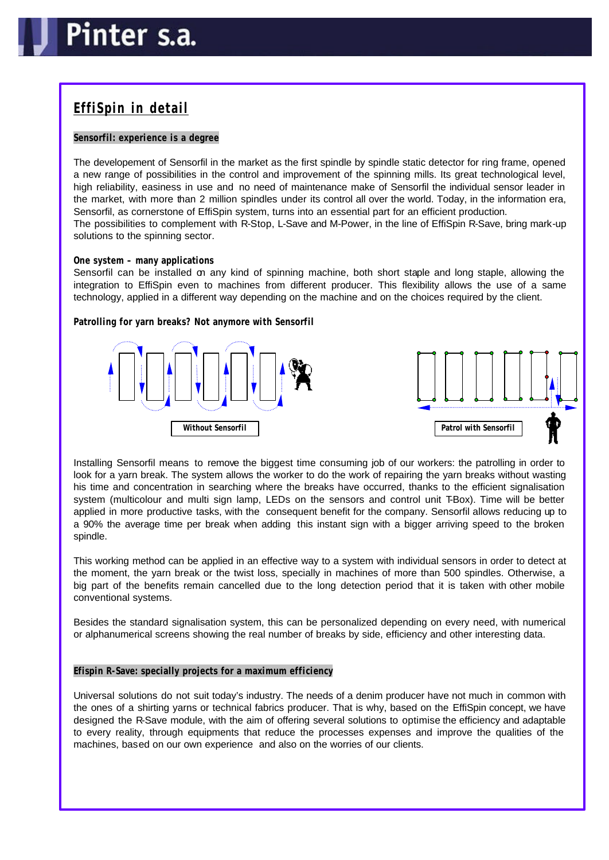### **EffiSpin in detail**

#### **Sensorfil: experience is a degree**

The developement of Sensorfil in the market as the first spindle by spindle static detector for ring frame, opened a new range of possibilities in the control and improvement of the spinning mills. Its great technological level, high reliability, easiness in use and no need of maintenance make of Sensorfil the individual sensor leader in the market, with more than 2 million spindles under its control all over the world. Today, in the information era, Sensorfil, as cornerstone of EffiSpin system, turns into an essential part for an efficient production. The possibilities to complement with R-Stop, L-Save and M-Power, in the line of EffiSpin R-Save, bring mark-up solutions to the spinning sector.

#### **One system – many applications**

Sensorfil can be installed on any kind of spinning machine, both short staple and long staple, allowing the integration to EffiSpin even to machines from different producer. This flexibility allows the use of a same technology, applied in a different way depending on the machine and on the choices required by the client.

**Patrolling for yarn breaks? Not anymore with Sensorfil**





Installing Sensorfil means to remove the biggest time consuming job of our workers: the patrolling in order to look for a yarn break. The system allows the worker to do the work of repairing the yarn breaks without wasting his time and concentration in searching where the breaks have occurred, thanks to the efficient signalisation system (multicolour and multi sign lamp, LEDs on the sensors and control unit T-Box). Time will be better applied in more productive tasks, with the consequent benefit for the company. Sensorfil allows reducing up to a 90% the average time per break when adding this instant sign with a bigger arriving speed to the broken spindle.

This working method can be applied in an effective way to a system with individual sensors in order to detect at the moment, the yarn break or the twist loss, specially in machines of more than 500 spindles. Otherwise, a big part of the benefits remain cancelled due to the long detection period that it is taken with other mobile conventional systems.

Besides the standard signalisation system, this can be personalized depending on every need, with numerical or alphanumerical screens showing the real number of breaks by side, efficiency and other interesting data.

#### **Efispin R-Save: specially projects for a maximum efficiency**

Universal solutions do not suit today's industry. The needs of a denim producer have not much in common with the ones of a shirting yarns or technical fabrics producer. That is why, based on the EffiSpin concept, we have designed the R-Save module, with the aim of offering several solutions to optimise the efficiency and adaptable to every reality, through equipments that reduce the processes expenses and improve the qualities of the machines, based on our own experience and also on the worries of our clients.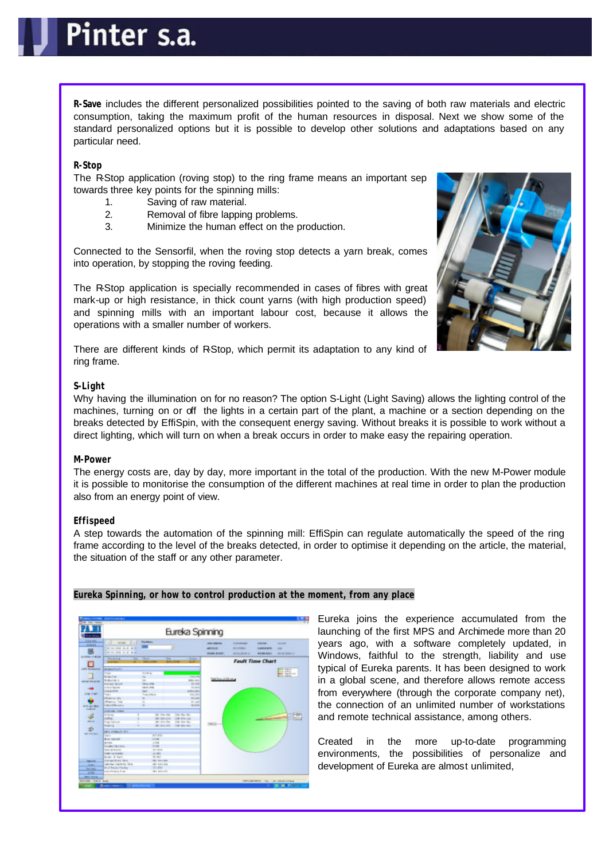**R-Save** includes the different personalized possibilities pointed to the saving of both raw materials and electric consumption, taking the maximum profit of the human resources in disposal. Next we show some of the standard personalized options but it is possible to develop other solutions and adaptations based on any particular need.

#### **R-Stop**

The R-Stop application (roving stop) to the ring frame means an important sep towards three key points for the spinning mills:

- 1. Saving of raw material.
- 2. Removal of fibre lapping problems.
- 3. Minimize the human effect on the production.

Connected to the Sensorfil, when the roving stop detects a yarn break, comes into operation, by stopping the roving feeding.

The R-Stop application is specially recommended in cases of fibres with great mark-up or high resistance, in thick count yarns (with high production speed) and spinning mills with an important labour cost, because it allows the operations with a smaller number of workers.

There are different kinds of R-Stop, which permit its adaptation to any kind of ring frame.

#### **S-Light**

Why having the illumination on for no reason? The option S-Light (Light Saving) allows the lighting control of the machines, turning on or off the lights in a certain part of the plant, a machine or a section depending on the breaks detected by EffiSpin, with the consequent energy saving. Without breaks it is possible to work without a direct lighting, which will turn on when a break occurs in order to make easy the repairing operation.

#### **M-Power**

The energy costs are, day by day, more important in the total of the production. With the new M-Power module it is possible to monitorise the consumption of the different machines at real time in order to plan the production also from an energy point of view.

#### **Effispeed**

A step towards the automation of the spinning mill: EffiSpin can regulate automatically the speed of the ring frame according to the level of the breaks detected, in order to optimise it depending on the article, the material, the situation of the staff or any other parameter.



**Eureka Spinning, or how to control production at the moment, from any place**

Eureka joins the experience accumulated from the launching of the first MPS and Archimede more than 20 years ago, with a software completely updated, in Windows, faithful to the strength, liability and use typical of Eureka parents. It has been designed to work in a global scene, and therefore allows remote access from everywhere (through the corporate company net), the connection of an unlimited number of workstations and remote technical assistance, among others.

Created in the more up-to-date programming environments, the possibilities of personalize and development of Eureka are almost unlimited,

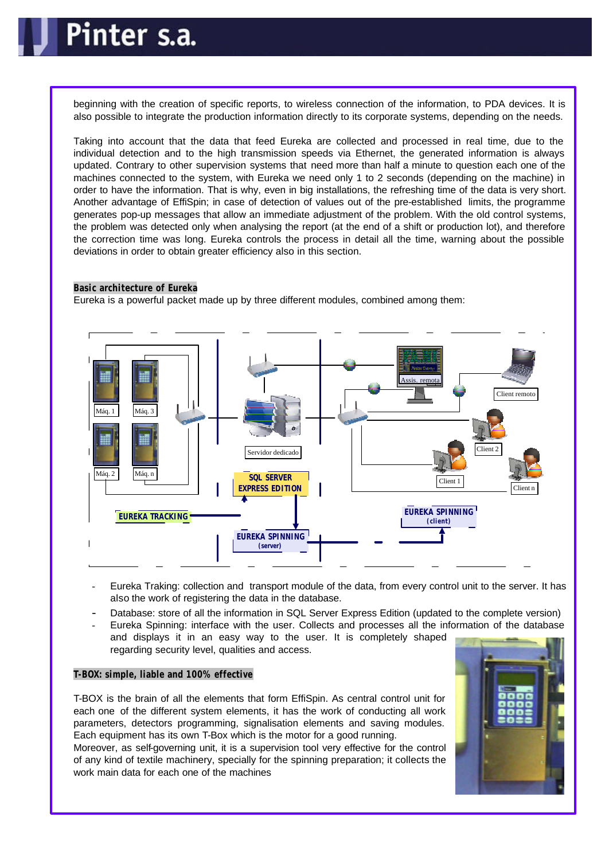### Pinter s.a.

beginning with the creation of specific reports, to wireless connection of the information, to PDA devices. It is also possible to integrate the production information directly to its corporate systems, depending on the needs.

Taking into account that the data that feed Eureka are collected and processed in real time, due to the individual detection and to the high transmission speeds via Ethernet, the generated information is always updated. Contrary to other supervision systems that need more than half a minute to question each one of the machines connected to the system, with Eureka we need only 1 to 2 seconds (depending on the machine) in order to have the information. That is why, even in big installations, the refreshing time of the data is very short. Another advantage of EffiSpin; in case of detection of values out of the pre-established limits, the programme generates pop-up messages that allow an immediate adjustment of the problem. With the old control systems, the problem was detected only when analysing the report (at the end of a shift or production lot), and therefore the correction time was long. Eureka controls the process in detail all the time, warning about the possible deviations in order to obtain greater efficiency also in this section.

#### **Basic architecture of Eureka**

Eureka is a powerful packet made up by three different modules, combined among them:



- Eureka Traking: collection and transport module of the data, from every control unit to the server. It has also the work of registering the data in the database.
- Database: store of all the information in SQL Server Express Edition (updated to the complete version)
- Eureka Spinning: interface with the user. Collects and processes all the information of the database and displays it in an easy way to the user. It is completely shaped regarding security level, qualities and access.

#### **T-BOX: simple, liable and 100% effective**

T-BOX is the brain of all the elements that form EffiSpin. As central control unit for each one of the different system elements, it has the work of conducting all work parameters, detectors programming, signalisation elements and saving modules. Each equipment has its own T-Box which is the motor for a good running.

Moreover, as self-governing unit, it is a supervision tool very effective for the control of any kind of textile machinery, specially for the spinning preparation; it collects the work main data for each one of the machines

![](_page_5_Picture_12.jpeg)